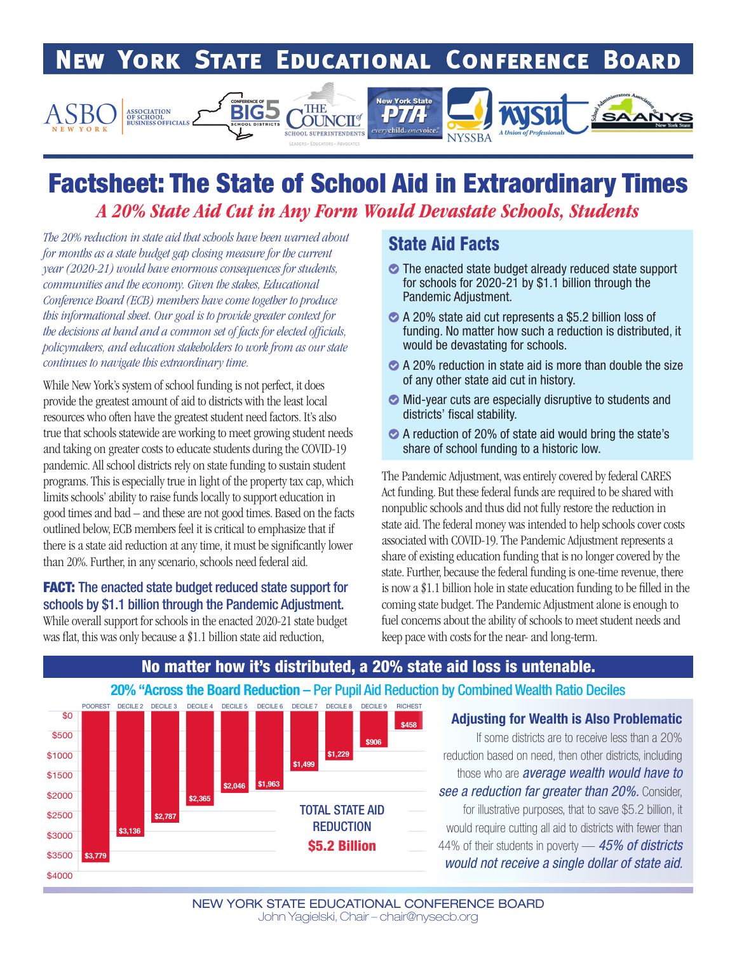#### **NEW YORK STATE EDUCATIONAL CONFERENCE BOARD**



# Factsheet: The State of School Aid in Extraordinary Times *A 20% State Aid Cut in Any Form Would Devastate Schools, Students*

*The 20% reduction in state aid that schools have been warned about for months as a state budget gap closing measure for the current year (2020-21) would have enormous consequences for students, communities and the economy. Given the stakes, Educational Conference Board (ECB) members have come together to produce this informational sheet. Our goal is to provide greater context for the decisions at hand and a common set of facts for elected officials, policymakers, and education stakeholders to work from as our state continues to navigate this extraordinary time.*

While New York's system of school funding is not perfect, it does provide the greatest amount of aid to districts with the least local resources who often have the greatest student need factors. It's also true that schools statewide are working to meet growing student needs and taking on greater costs to educate students during the COVID-19 pandemic. All school districts rely on state funding to sustain student programs. This is especially true in light of the property tax cap, which limits schools' ability to raise funds locally to support education in good times and bad – and these are not good times. Based on the facts outlined below, ECB members feel it is critical to emphasize that if there is a state aid reduction at any time, it must be significantly lower than 20%. Further, in any scenario, schools need federal aid.

## **FACT:** The enacted state budget reduced state support for schools by \$1.1 billion through the Pandemic Adjustment.

While overall support for schools in the enacted 2020-21 state budget was flat, this was only because a \$1.1 billion state aid reduction,

## State Aid Facts

- $\bullet$  The enacted state budget already reduced state support for schools for 2020-21 by \$1.1 billion through the Pandemic Adjustment.
- ◆ A 20% state aid cut represents a \$5.2 billion loss of funding. No matter how such a reduction is distributed, it would be devastating for schools.
- $\bullet$  A 20% reduction in state aid is more than double the size of any other state aid cut in history.
- $\bullet$  Mid-year cuts are especially disruptive to students and districts' fiscal stability.
- ` A reduction of 20% of state aid would bring the state's share of school funding to a historic low.

The Pandemic Adjustment, was entirely covered by federal CARES Act funding. But these federal funds are required to be shared with nonpublic schools and thus did not fully restore the reduction in state aid. The federal money was intended to help schools cover costs associated with COVID-19. The Pandemic Adjustment represents a share of existing education funding that is no longer covered by the state. Further, because the federal funding is one-time revenue, there is now a \$1.1 billion hole in state education funding to be filled in the coming state budget. The Pandemic Adjustment alone is enough to fuel concerns about the ability of schools to meet student needs and keep pace with costs for the near- and long-term.



## No matter how it's distributed, a 20% state aid loss is untenable.

#### Adjusting for Wealth is Also Problematic

If some districts are to receive less than a 20% reduction based on need, then other districts, including those who are *average wealth would have to see a reduction far greater than 20%.* Consider, for illustrative purposes, that to save \$5.2 billion, it would require cutting all aid to districts with fewer than 44% of their students in poverty — *45% of districts would not receive a single dollar of state aid.*